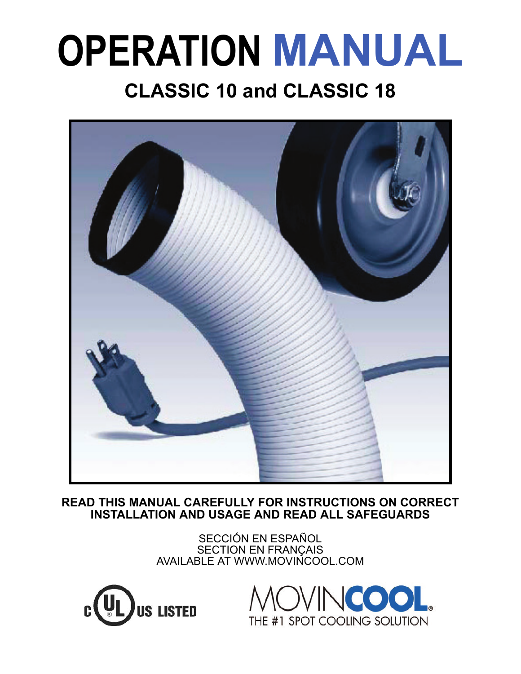# **OPERATION MANUAL CLASSIC 10 and CLASSIC 18**



**READ THIS MANUAL CAREFULLY FOR INSTRUCTIONS ON CORRECT INSTALLATION AND USAGE AND READ ALL SAFEGUARDS**

> SECCIÓN EN ESPAÑOL SECTION EN FRANÇAIS AVAILABLE AT WWW.MOVINCOOL.COM



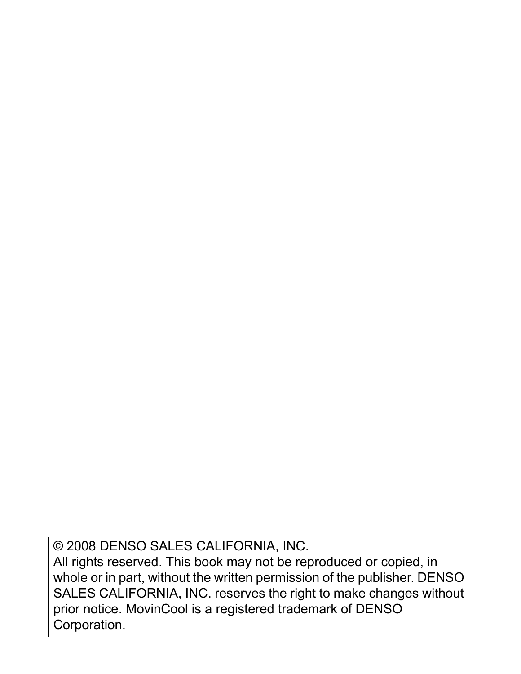© 2008 DENSO SALES CALIFORNIA, INC.

All rights reserved. This book may not be reproduced or copied, in whole or in part, without the written permission of the publisher. DENSO SALES CALIFORNIA, INC. reserves the right to make changes without prior notice. MovinCool is a registered trademark of DENSO Corporation.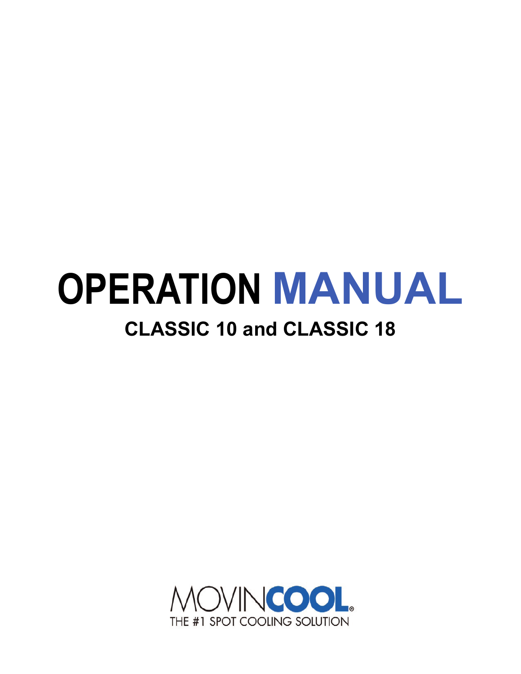# **OPERATION MANUAL CLASSIC 10 and CLASSIC 18**

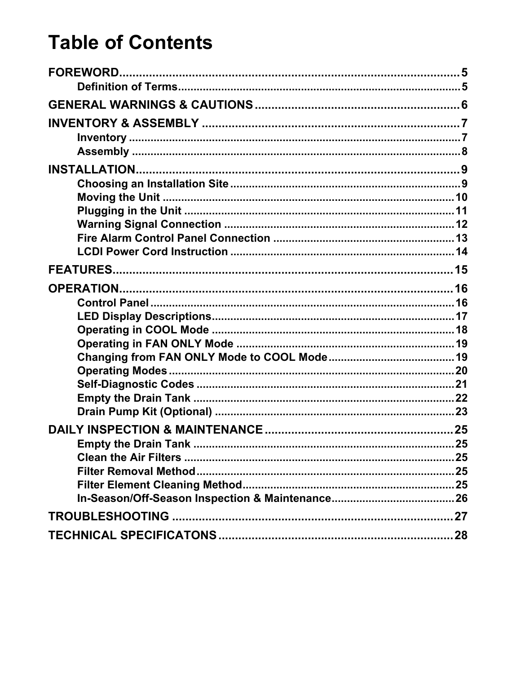### **Table of Contents**

| <b>Empty the Drain Tank.</b> |  |
|------------------------------|--|
|                              |  |
|                              |  |
|                              |  |
|                              |  |
|                              |  |
|                              |  |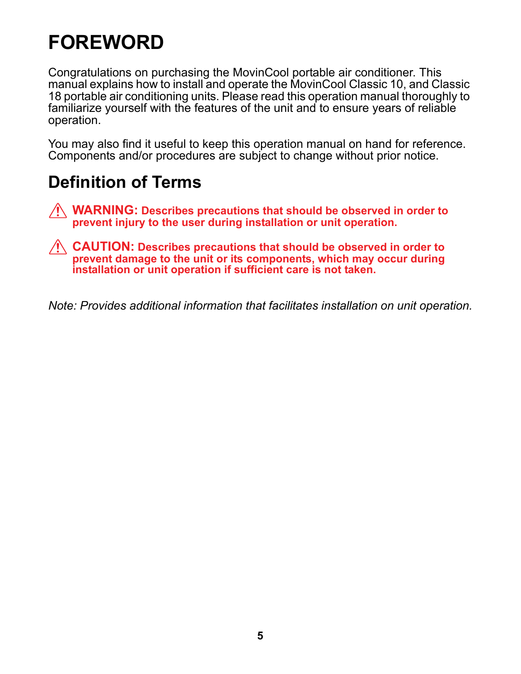### <span id="page-4-0"></span>**FOREWORD**

Congratulations on purchasing the MovinCool portable air conditioner. This manual explains how to install and operate the MovinCool Classic 10, and Classic 18 portable air conditioning units. Please read this operation manual thoroughly to familiarize yourself with the features of the unit and to ensure years of reliable operation.

You may also find it useful to keep this operation manual on hand for reference. Components and/or procedures are subject to change without prior notice.

#### <span id="page-4-1"></span>**Definition of Terms**

- **WARNING: Describes precautions that should be observed in order to prevent injury to the user during installation or unit operation.**
- **CAUTION: Describes precautions that should be observed in order to prevent damage to the unit or its components, which may occur during installation or unit operation if sufficient care is not taken.**

*Note: Provides additional information that facilitates installation on unit operation.*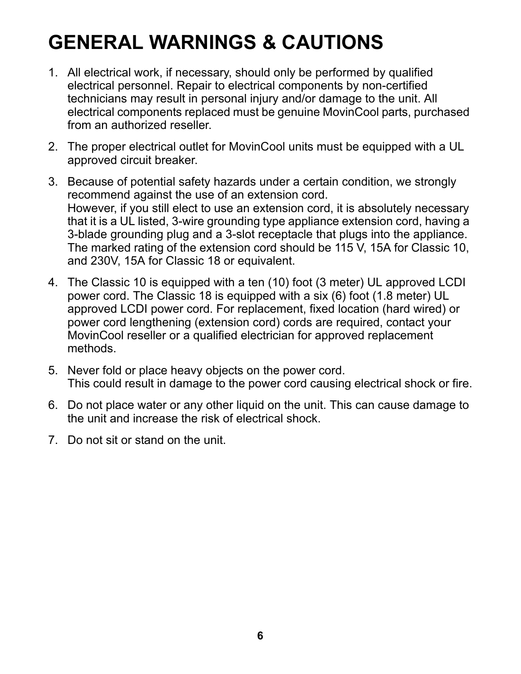### <span id="page-5-0"></span>**GENERAL WARNINGS & CAUTIONS**

- 1. All electrical work, if necessary, should only be performed by qualified electrical personnel. Repair to electrical components by non-certified technicians may result in personal injury and/or damage to the unit. All electrical components replaced must be genuine MovinCool parts, purchased from an authorized reseller.
- 2. The proper electrical outlet for MovinCool units must be equipped with a UL approved circuit breaker.
- 3. Because of potential safety hazards under a certain condition, we strongly recommend against the use of an extension cord. However, if you still elect to use an extension cord, it is absolutely necessary that it is a UL listed, 3-wire grounding type appliance extension cord, having a 3-blade grounding plug and a 3-slot receptacle that plugs into the appliance. The marked rating of the extension cord should be 115 V, 15A for Classic 10, and 230V, 15A for Classic 18 or equivalent.
- 4. The Classic 10 is equipped with a ten (10) foot (3 meter) UL approved LCDI power cord. The Classic 18 is equipped with a six (6) foot (1.8 meter) UL approved LCDI power cord. For replacement, fixed location (hard wired) or power cord lengthening (extension cord) cords are required, contact your MovinCool reseller or a qualified electrician for approved replacement methods.
- 5. Never fold or place heavy objects on the power cord. This could result in damage to the power cord causing electrical shock or fire.
- 6. Do not place water or any other liquid on the unit. This can cause damage to the unit and increase the risk of electrical shock.
- 7. Do not sit or stand on the unit.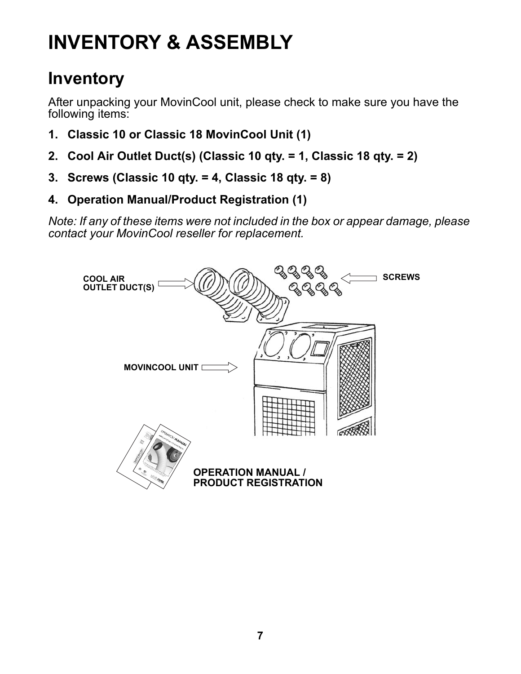## <span id="page-6-0"></span>**INVENTORY & ASSEMBLY**

#### <span id="page-6-1"></span>**Inventory**

After unpacking your MovinCool unit, please check to make sure you have the following items:

- **1. Classic 10 or Classic 18 MovinCool Unit (1)**
- **2. Cool Air Outlet Duct(s) (Classic 10 qty. = 1, Classic 18 qty. = 2)**
- **3. Screws (Classic 10 qty. = 4, Classic 18 qty. = 8)**
- **4. Operation Manual/Product Registration (1)**

*Note: If any of these items were not included in the box or appear damage, please contact your MovinCool reseller for replacement.*

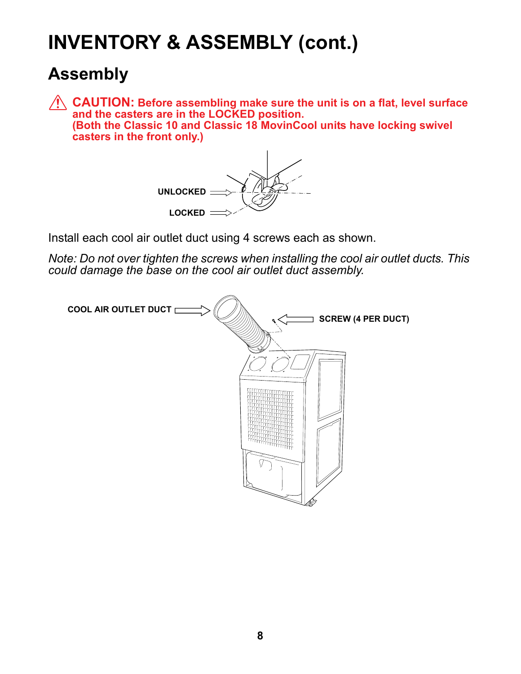### **INVENTORY & ASSEMBLY (cont.)**

#### <span id="page-7-0"></span>**Assembly**

**CAUTION: Before assembling make sure the unit is on a flat, level surface and the casters are in the LOCKED position. (Both the Classic 10 and Classic 18 MovinCool units have locking swivel casters in the front only.)**



Install each cool air outlet duct using 4 screws each as shown.

*Note: Do not over tighten the screws when installing the cool air outlet ducts. This could damage the base on the cool air outlet duct assembly.*

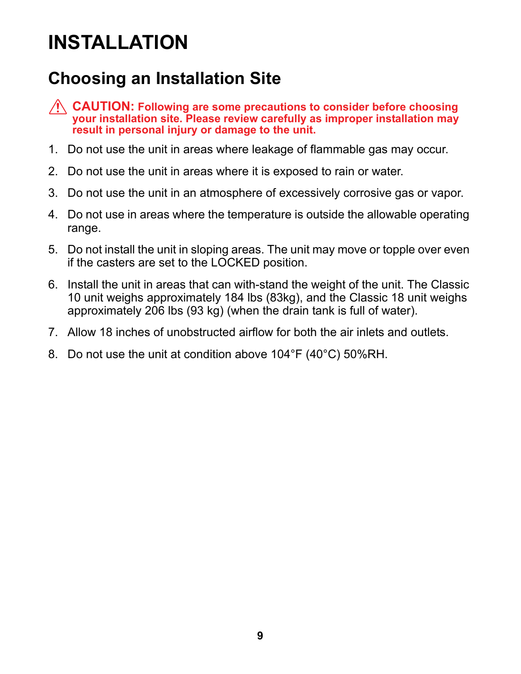### <span id="page-8-0"></span>**INSTALLATION**

### <span id="page-8-1"></span>**Choosing an Installation Site**

**CAUTION: Following are some precautions to consider before choosing your installation site. Please review carefully as improper installation may result in personal injury or damage to the unit.**

- 1. Do not use the unit in areas where leakage of flammable gas may occur.
- 2. Do not use the unit in areas where it is exposed to rain or water.
- 3. Do not use the unit in an atmosphere of excessively corrosive gas or vapor.
- 4. Do not use in areas where the temperature is outside the allowable operating range.
- 5. Do not install the unit in sloping areas. The unit may move or topple over even if the casters are set to the LOCKED position.
- 6. Install the unit in areas that can with-stand the weight of the unit. The Classic 10 unit weighs approximately 184 lbs (83kg), and the Classic 18 unit weighs approximately 206 lbs (93 kg) (when the drain tank is full of water).
- 7. Allow 18 inches of unobstructed airflow for both the air inlets and outlets.
- 8. Do not use the unit at condition above 104°F (40°C) 50%RH.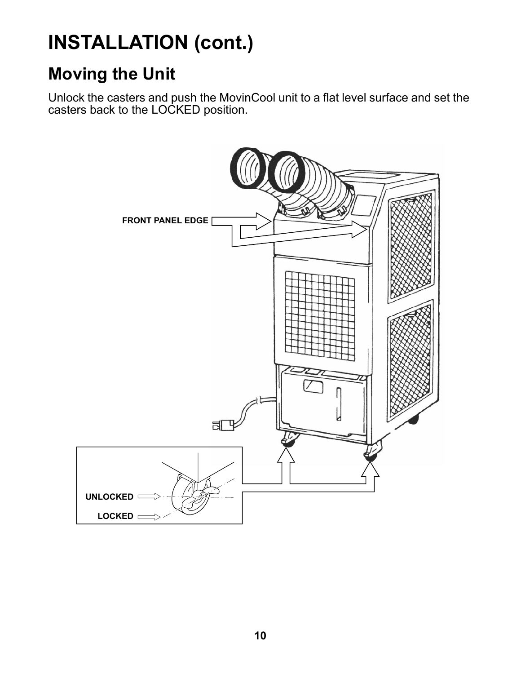### <span id="page-9-0"></span>**Moving the Unit**

Unlock the casters and push the MovinCool unit to a flat level surface and set the casters back to the LOCKED position.

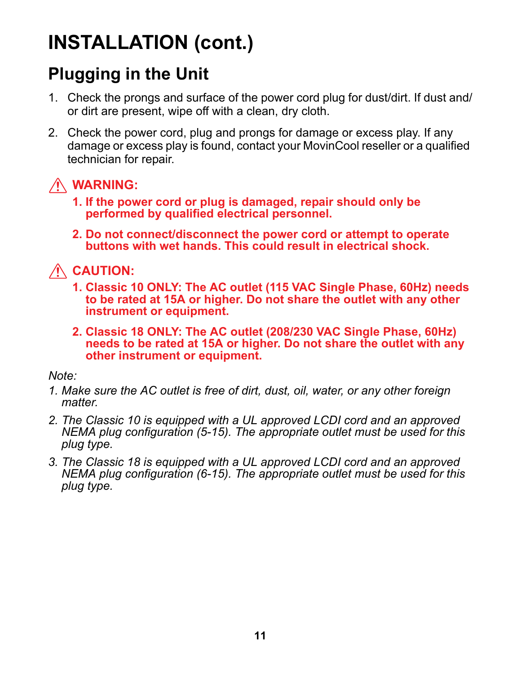#### <span id="page-10-0"></span>**Plugging in the Unit**

- 1. Check the prongs and surface of the power cord plug for dust/dirt. If dust and/ or dirt are present, wipe off with a clean, dry cloth.
- 2. Check the power cord, plug and prongs for damage or excess play. If any damage or excess play is found, contact your MovinCool reseller or a qualified technician for repair.

#### **WARNING:**

- **1. If the power cord or plug is damaged, repair should only be performed by qualified electrical personnel.**
- **2. Do not connect/disconnect the power cord or attempt to operate buttons with wet hands. This could result in electrical shock.**

**CAUTION:**

- **1. Classic 10 ONLY: The AC outlet (115 VAC Single Phase, 60Hz) needs to be rated at 15A or higher. Do not share the outlet with any other instrument or equipment.**
- **2. Classic 18 ONLY: The AC outlet (208/230 VAC Single Phase, 60Hz) needs to be rated at 15A or higher. Do not share the outlet with any other instrument or equipment.**

*Note:*

- *1. Make sure the AC outlet is free of dirt, dust, oil, water, or any other foreign matter.*
- *2. The Classic 10 is equipped with a UL approved LCDI cord and an approved NEMA plug configuration (5-15). The appropriate outlet must be used for this plug type.*
- *3. The Classic 18 is equipped with a UL approved LCDI cord and an approved NEMA plug configuration (6-15). The appropriate outlet must be used for this plug type.*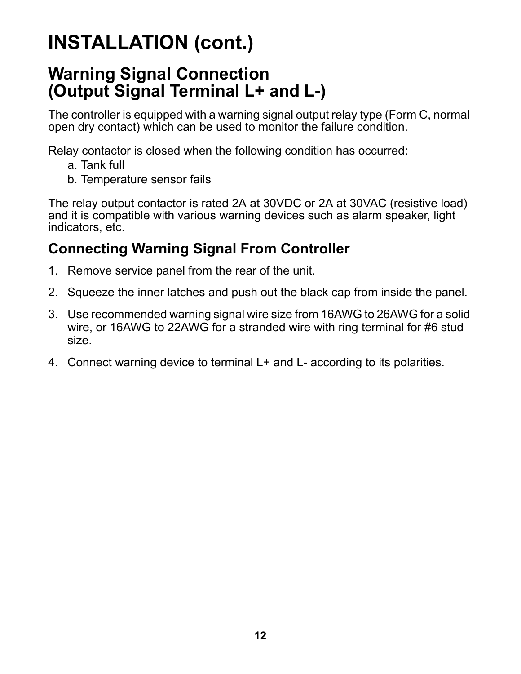#### <span id="page-11-0"></span>**Warning Signal Connection (Output Signal Terminal L+ and L-)**

The controller is equipped with a warning signal output relay type (Form C, normal open dry contact) which can be used to monitor the failure condition.

Relay contactor is closed when the following condition has occurred:

- a. Tank full
- b. Temperature sensor fails

The relay output contactor is rated 2A at 30VDC or 2A at 30VAC (resistive load) and it is compatible with various warning devices such as alarm speaker, light indicators, etc.

#### **Connecting Warning Signal From Controller**

- 1. Remove service panel from the rear of the unit.
- 2. Squeeze the inner latches and push out the black cap from inside the panel.
- 3. Use recommended warning signal wire size from 16AWG to 26AWG for a solid wire, or 16AWG to 22AWG for a stranded wire with ring terminal for #6 stud size.
- 4. Connect warning device to terminal L+ and L- according to its polarities.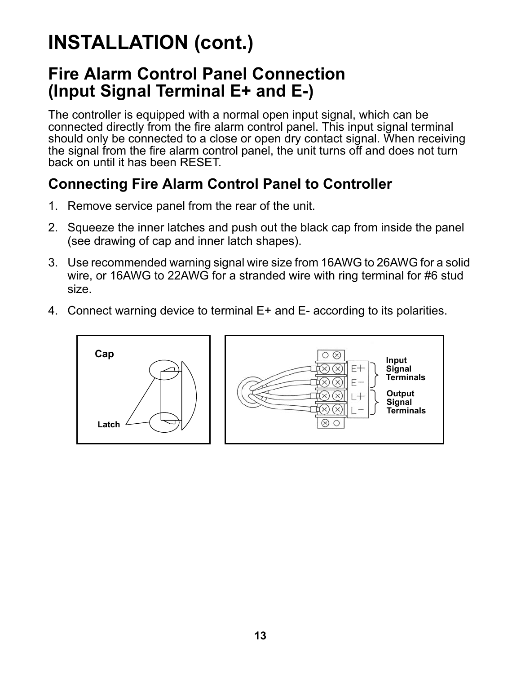#### <span id="page-12-0"></span>**Fire Alarm Control Panel Connection (Input Signal Terminal E+ and E-)**

The controller is equipped with a normal open input signal, which can be connected directly from the fire alarm control panel. This input signal terminal should only be connected to a close or open dry contact signal. When receiving the signal from the fire alarm control panel, the unit turns off and does not turn back on until it has been RESET.

#### **Connecting Fire Alarm Control Panel to Controller**

- 1. Remove service panel from the rear of the unit.
- 2. Squeeze the inner latches and push out the black cap from inside the panel (see drawing of cap and inner latch shapes).
- 3. Use recommended warning signal wire size from 16AWG to 26AWG for a solid wire, or 16AWG to 22AWG for a stranded wire with ring terminal for #6 stud size.
- 4. Connect warning device to terminal E+ and E- according to its polarities.



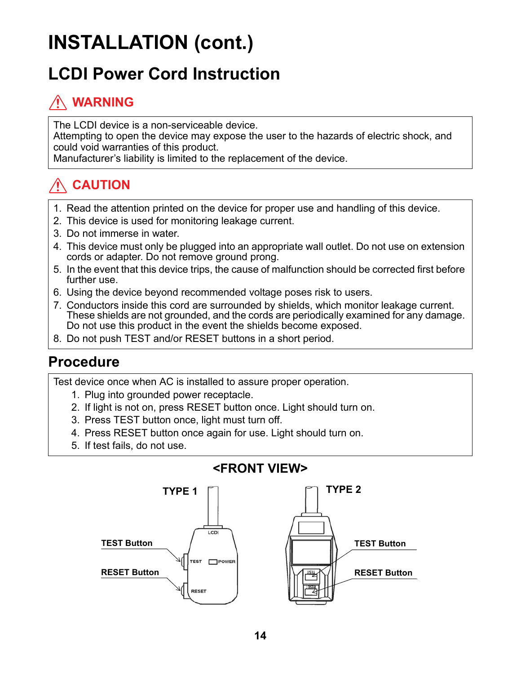### <span id="page-13-0"></span>**LCDI Power Cord Instruction**

#### **WARNING**

The LCDI device is a non-serviceable device. Attempting to open the device may expose the user to the hazards of electric shock, and could void warranties of this product.

Manufacturer's liability is limited to the replacement of the device.

#### **CAUTION**

- 1. Read the attention printed on the device for proper use and handling of this device.
- 2. This device is used for monitoring leakage current.
- 3. Do not immerse in water.
- 4. This device must only be plugged into an appropriate wall outlet. Do not use on extension cords or adapter. Do not remove ground prong.
- 5. In the event that this device trips, the cause of malfunction should be corrected first before further use.
- 6. Using the device beyond recommended voltage poses risk to users.
- 7. Conductors inside this cord are surrounded by shields, which monitor leakage current. These shields are not grounded, and the cords are periodically examined for any damage. Do not use this product in the event the shields become exposed.
- 8. Do not push TEST and/or RESET buttons in a short period.

#### **Procedure**

Test device once when AC is installed to assure proper operation.

- 1. Plug into grounded power receptacle.
- 2. If light is not on, press RESET button once. Light should turn on.
- 3. Press TEST button once, light must turn off.
- 4. Press RESET button once again for use. Light should turn on.
- 5. If test fails, do not use.



#### **<FRONT VIEW>**

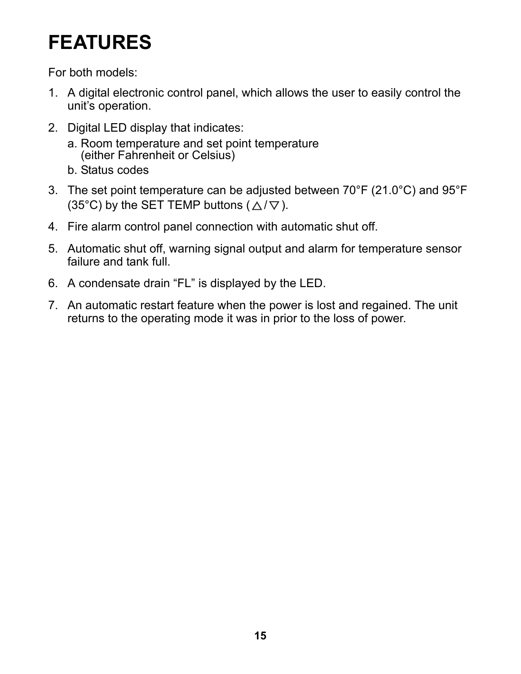### <span id="page-14-0"></span>**FEATURES**

For both models:

- 1. A digital electronic control panel, which allows the user to easily control the unit's operation.
- 2. Digital LED display that indicates:
	- a. Room temperature and set point temperature (either Fahrenheit or Celsius) b. Status codes
- 3. The set point temperature can be adjusted between 70°F (21.0°C) and 95°F (35°C) by the SET TEMP buttons ( $\triangle$ / $\nabla$ ).
- 4. Fire alarm control panel connection with automatic shut off.
- 5. Automatic shut off, warning signal output and alarm for temperature sensor failure and tank full.
- 6. A condensate drain "FL" is displayed by the LED.
- 7. An automatic restart feature when the power is lost and regained. The unit returns to the operating mode it was in prior to the loss of power.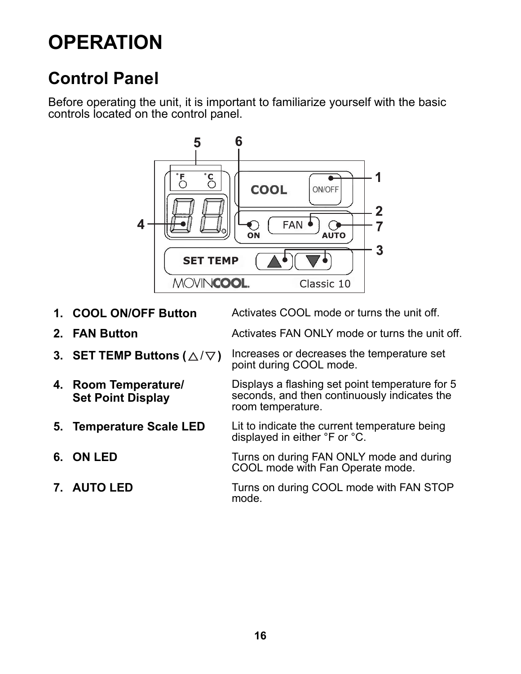### <span id="page-15-0"></span>**OPERATION**

### <span id="page-15-1"></span>**Control Panel**

Before operating the unit, it is important to familiarize yourself with the basic controls located on the control panel.



- **1. COOL ON/OFF Button** Activates COOL mode or turns the unit off.
- 
- 
- **4. Room Temperature/ Set Point Display**
- 
- 
- 

- **2. FAN Button Activates FAN ONLY mode or turns the unit off.**
- **3. SET TEMP Buttons**  $(\triangle/\nabla)$  Increases or decreases the temperature set point during COOL mode.

Displays a flashing set point temperature for 5 seconds, and then continuously indicates the room temperature.

- **5. Temperature Scale LED** Lit to indicate the current temperature being displayed in either °F or °C.
- **6. ON LED** Turns on during FAN ONLY mode and during COOL mode with Fan Operate mode.
- **7. AUTO LED** Turns on during COOL mode with FAN STOP mode.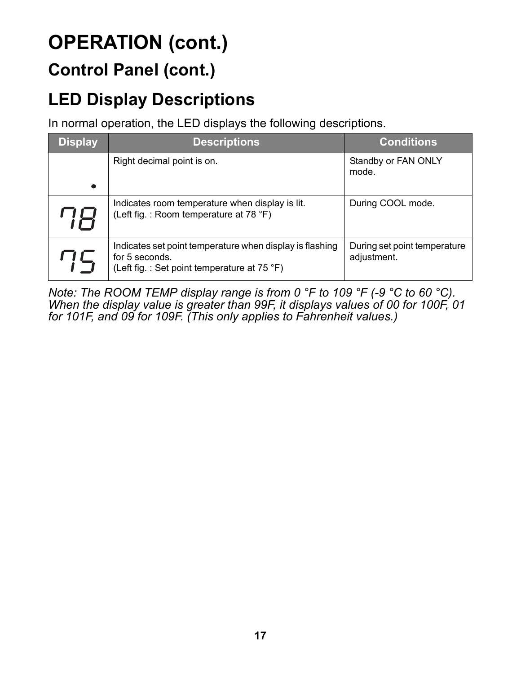#### **Control Panel (cont.)**

### <span id="page-16-0"></span>**LED Display Descriptions**

In normal operation, the LED displays the following descriptions.

| <b>Display</b> | <b>Descriptions</b>                                                                                                       | <b>Conditions</b>                           |
|----------------|---------------------------------------------------------------------------------------------------------------------------|---------------------------------------------|
|                | Right decimal point is on.                                                                                                | Standby or FAN ONLY<br>mode.                |
| ne.            | Indicates room temperature when display is lit.<br>(Left fig.: Room temperature at 78 °F)                                 | During COOL mode.                           |
| 75             | Indicates set point temperature when display is flashing<br>for 5 seconds.<br>(Left fig.: Set point temperature at 75 °F) | During set point temperature<br>adjustment. |

*Note: The ROOM TEMP display range is from 0 °F to 109 °F (-9 °C to 60 °C). When the display value is greater than 99F, it displays values of 00 for 100F, 01 for 101F, and 09 for 109F. (This only applies to Fahrenheit values.)*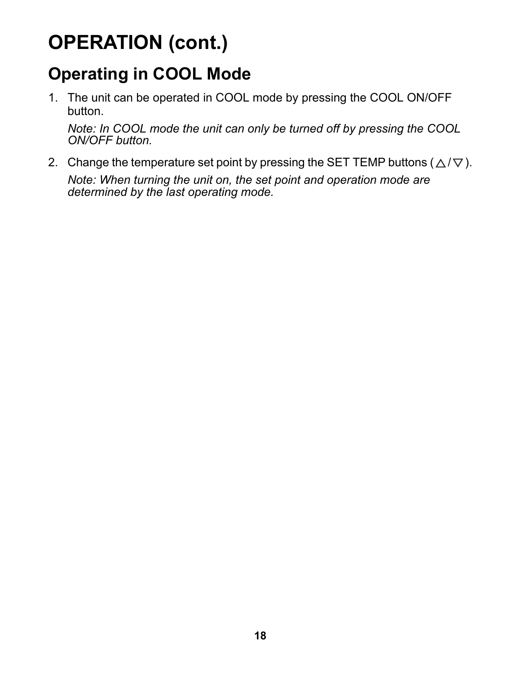### <span id="page-17-0"></span>**Operating in COOL Mode**

1. The unit can be operated in COOL mode by pressing the COOL ON/OFF button.

*Note: In COOL mode the unit can only be turned off by pressing the COOL ON/OFF button.*

2. Change the temperature set point by pressing the SET TEMP buttons ( $\triangle/\nabla$ ). *Note: When turning the unit on, the set point and operation mode are determined by the last operating mode.*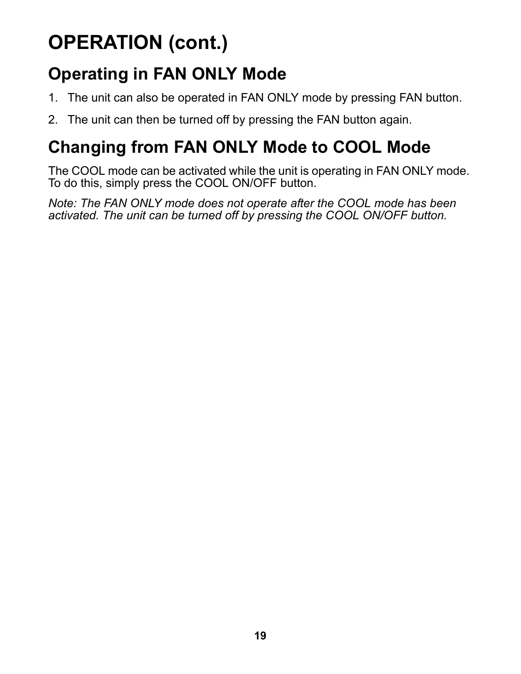### <span id="page-18-0"></span>**Operating in FAN ONLY Mode**

- 1. The unit can also be operated in FAN ONLY mode by pressing FAN button.
- 2. The unit can then be turned off by pressing the FAN button again.

### <span id="page-18-1"></span>**Changing from FAN ONLY Mode to COOL Mode**

The COOL mode can be activated while the unit is operating in FAN ONLY mode. To do this, simply press the COOL ON/OFF button.

*Note: The FAN ONLY mode does not operate after the COOL mode has been activated. The unit can be turned off by pressing the COOL ON/OFF button.*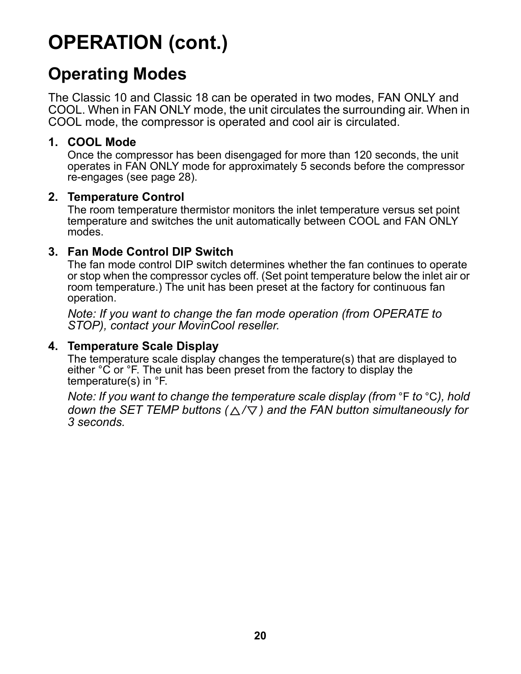#### <span id="page-19-0"></span>**Operating Modes**

The Classic 10 and Classic 18 can be operated in two modes, FAN ONLY and COOL. When in FAN ONLY mode, the unit circulates the surrounding air. When in COOL mode, the compressor is operated and cool air is circulated.

#### **1. COOL Mode**

Once the compressor has been disengaged for more than 120 seconds, the unit operates in FAN ONLY mode for approximately 5 seconds before the compressor re-engages (see [page 28](#page-27-1)).

#### **2. Temperature Control**

The room temperature thermistor monitors the inlet temperature versus set point temperature and switches the unit automatically between COOL and FAN ONLY modes.

#### **3. Fan Mode Control DIP Switch**

The fan mode control DIP switch determines whether the fan continues to operate or stop when the compressor cycles off. (Set point temperature below the inlet air or room temperature.) The unit has been preset at the factory for continuous fan operation.

*Note: If you want to change the fan mode operation (from OPERATE to STOP), contact your MovinCool reseller.*

#### **4. Temperature Scale Display**

The temperature scale display changes the temperature(s) that are displayed to either °C or °F. The unit has been preset from the factory to display the temperature(s) in °F.

*Note: If you want to change the temperature scale display (from* °F *to* °C*), hold down the SET TEMP buttons (* $\triangle$ */* $\nabla$ *) and the FAN button simultaneously for 3 seconds.*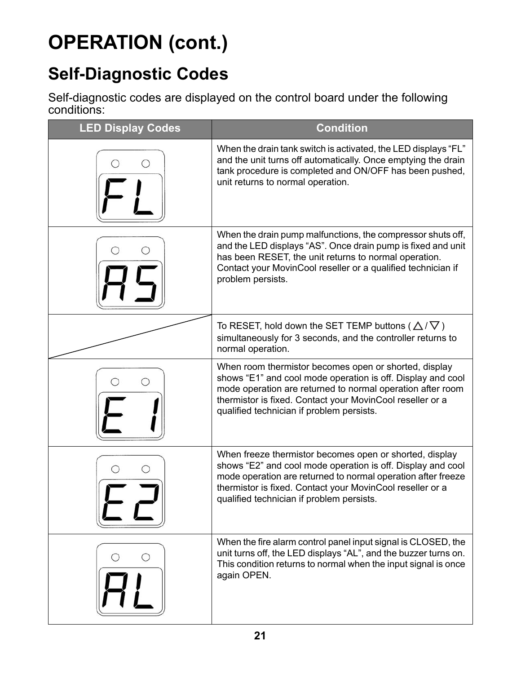### <span id="page-20-0"></span>**Self-Diagnostic Codes**

Self-diagnostic codes are displayed on the control board under the following conditions:

| <b>LED Display Codes</b> | <b>Condition</b>                                                                                                                                                                                                                                                                                 |  |  |
|--------------------------|--------------------------------------------------------------------------------------------------------------------------------------------------------------------------------------------------------------------------------------------------------------------------------------------------|--|--|
|                          | When the drain tank switch is activated, the LED displays "FL"<br>and the unit turns off automatically. Once emptying the drain<br>tank procedure is completed and ON/OFF has been pushed,<br>unit returns to normal operation.                                                                  |  |  |
|                          | When the drain pump malfunctions, the compressor shuts off,<br>and the LED displays "AS". Once drain pump is fixed and unit<br>has been RESET, the unit returns to normal operation.<br>Contact your MovinCool reseller or a qualified technician if<br>problem persists.                        |  |  |
|                          | To RESET, hold down the SET TEMP buttons ( $\triangle$ / $\nabla$ )<br>simultaneously for 3 seconds, and the controller returns to<br>normal operation.                                                                                                                                          |  |  |
|                          | When room thermistor becomes open or shorted, display<br>shows "E1" and cool mode operation is off. Display and cool<br>mode operation are returned to normal operation after room<br>thermistor is fixed. Contact your MovinCool reseller or a<br>qualified technician if problem persists.     |  |  |
|                          | When freeze thermistor becomes open or shorted, display<br>shows "E2" and cool mode operation is off. Display and cool<br>mode operation are returned to normal operation after freeze<br>thermistor is fixed. Contact your MovinCool reseller or a<br>qualified technician if problem persists. |  |  |
|                          | When the fire alarm control panel input signal is CLOSED, the<br>unit turns off, the LED displays "AL", and the buzzer turns on.<br>This condition returns to normal when the input signal is once<br>again OPEN.                                                                                |  |  |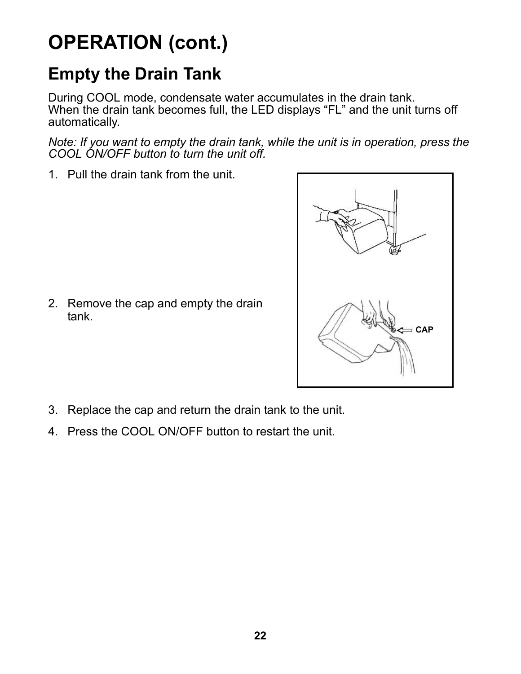#### <span id="page-21-1"></span><span id="page-21-0"></span>**Empty the Drain Tank**

During COOL mode, condensate water accumulates in the drain tank. When the drain tank becomes full, the LED displays "FL" and the unit turns off automatically.

*Note: If you want to empty the drain tank, while the unit is in operation, press the COOL ON/OFF button to turn the unit off.*

1. Pull the drain tank from the unit.





- 3. Replace the cap and return the drain tank to the unit.
- 4. Press the COOL ON/OFF button to restart the unit.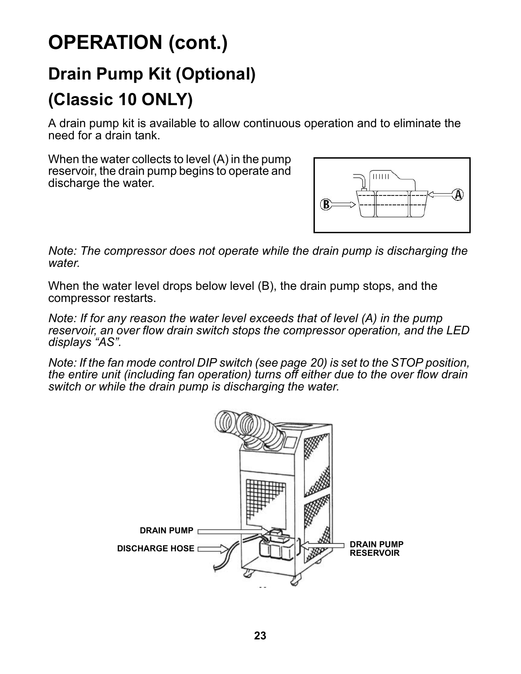### <span id="page-22-0"></span>**Drain Pump Kit (Optional) (Classic 10 ONLY)**

A drain pump kit is available to allow continuous operation and to eliminate the need for a drain tank.

When the water collects to level (A) in the pump reservoir, the drain pump begins to operate and discharge the water.



*Note: The compressor does not operate while the drain pump is discharging the water.*

When the water level drops below level (B), the drain pump stops, and the compressor restarts.

*Note: If for any reason the water level exceeds that of level (A) in the pump reservoir, an over flow drain switch stops the compressor operation, and the LED displays "AS".*

*Note: If the fan mode control DIP switch (see [page 20](#page-19-0)) is set to the STOP position, the entire unit (including fan operation) turns off either due to the over flow drain switch or while the drain pump is discharging the water.*

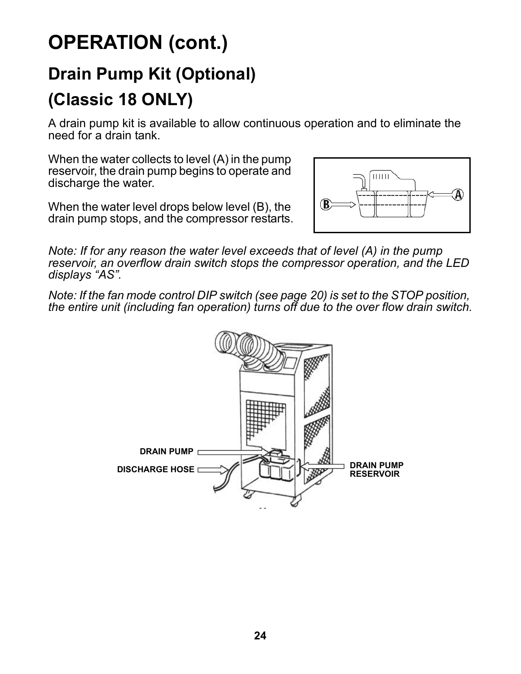### **Drain Pump Kit (Optional) (Classic 18 ONLY)**

A drain pump kit is available to allow continuous operation and to eliminate the need for a drain tank.

When the water collects to level (A) in the pump reservoir, the drain pump begins to operate and discharge the water.

When the water level drops below level (B), the drain pump stops, and the compressor restarts.



*Note: If for any reason the water level exceeds that of level (A) in the pump reservoir, an overflow drain switch stops the compressor operation, and the LED displays "AS".*

*Note: If the fan mode control DIP switch (see [page 20](#page-19-0)) is set to the STOP position, the entire unit (including fan operation) turns off due to the over flow drain switch.*

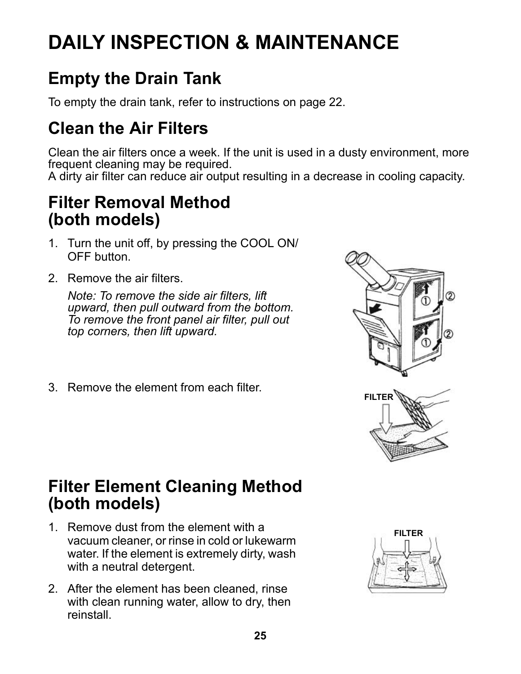## <span id="page-24-0"></span>**DAILY INSPECTION & MAINTENANCE**

### <span id="page-24-1"></span>**Empty the Drain Tank**

To empty the drain tank, refer to instructions on [page 22](#page-21-1).

### <span id="page-24-2"></span>**Clean the Air Filters**

Clean the air filters once a week. If the unit is used in a dusty environment, more frequent cleaning may be required. A dirty air filter can reduce air output resulting in a decrease in cooling capacity.

#### <span id="page-24-3"></span>**Filter Removal Method (both models)**

- 1. Turn the unit off, by pressing the COOL ON/ OFF button.
- 2. Remove the air filters.

*Note: To remove the side air filters, lift upward, then pull outward from the bottom. To remove the front panel air filter, pull out top corners, then lift upward.*

3. Remove the element from each filter.



#### <span id="page-24-4"></span>**Filter Element Cleaning Method (both models)**

- 1. Remove dust from the element with a vacuum cleaner, or rinse in cold or lukewarm water. If the element is extremely dirty, wash with a neutral detergent.
- 2. After the element has been cleaned, rinse with clean running water, allow to dry, then reinstall.

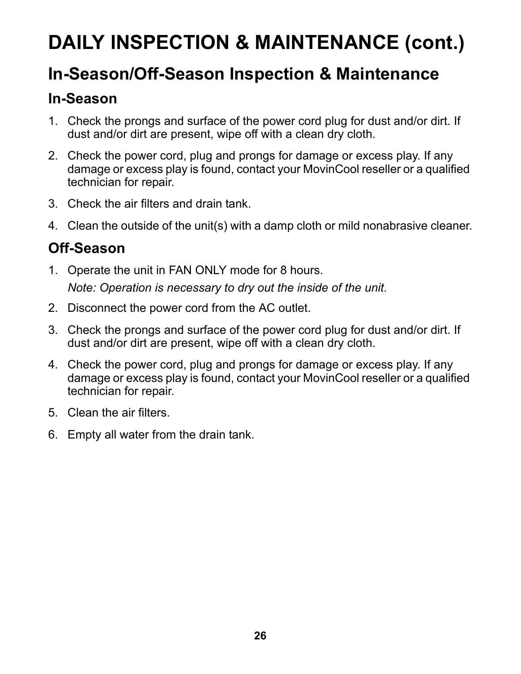## **DAILY INSPECTION & MAINTENANCE (cont.)**

#### <span id="page-25-0"></span>**In-Season/Off-Season Inspection & Maintenance**

#### **In-Season**

- 1. Check the prongs and surface of the power cord plug for dust and/or dirt. If dust and/or dirt are present, wipe off with a clean dry cloth.
- 2. Check the power cord, plug and prongs for damage or excess play. If any damage or excess play is found, contact your MovinCool reseller or a qualified technician for repair.
- 3. Check the air filters and drain tank.
- 4. Clean the outside of the unit(s) with a damp cloth or mild nonabrasive cleaner.

#### **Off-Season**

- 1. Operate the unit in FAN ONLY mode for 8 hours. *Note: Operation is necessary to dry out the inside of the unit.*
- 2. Disconnect the power cord from the AC outlet.
- 3. Check the prongs and surface of the power cord plug for dust and/or dirt. If dust and/or dirt are present, wipe off with a clean dry cloth.
- 4. Check the power cord, plug and prongs for damage or excess play. If any damage or excess play is found, contact your MovinCool reseller or a qualified technician for repair.
- 5. Clean the air filters.
- 6. Empty all water from the drain tank.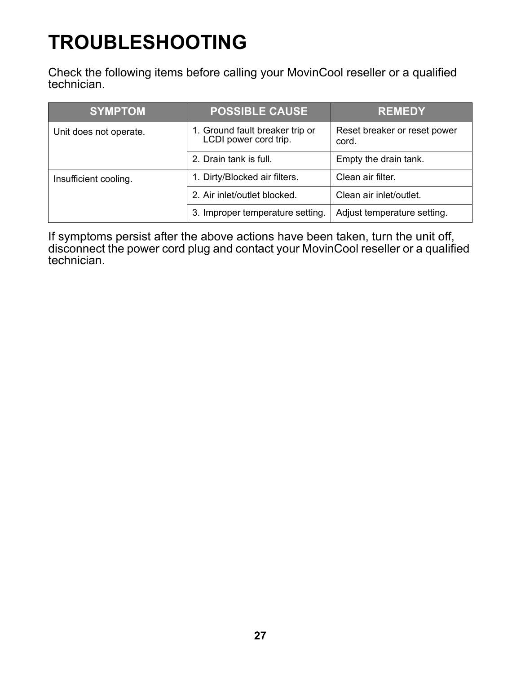## <span id="page-26-0"></span>**TROUBLESHOOTING**

Check the following items before calling your MovinCool reseller or a qualified technician.

| <b>SYMPTOM</b>         | <b>POSSIBLE CAUSE</b>                                    | <b>REMEDY</b>                         |
|------------------------|----------------------------------------------------------|---------------------------------------|
| Unit does not operate. | 1. Ground fault breaker trip or<br>LCDI power cord trip. | Reset breaker or reset power<br>cord. |
|                        | 2. Drain tank is full.                                   | Empty the drain tank.                 |
| Insufficient cooling.  | 1. Dirty/Blocked air filters.                            | Clean air filter.                     |
|                        | 2. Air inlet/outlet blocked.                             | Clean air inlet/outlet.               |
|                        | 3. Improper temperature setting.                         | Adjust temperature setting.           |

If symptoms persist after the above actions have been taken, turn the unit off, disconnect the power cord plug and contact your MovinCool reseller or a qualified technician.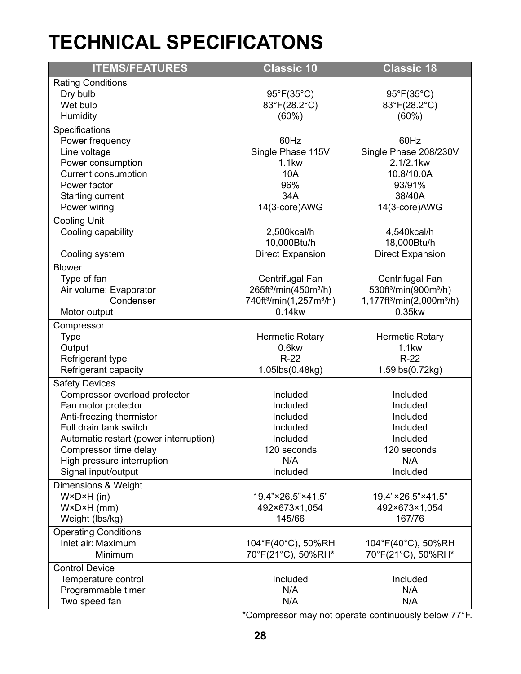### <span id="page-27-1"></span><span id="page-27-0"></span>**TECHNICAL SPECIFICATONS**

| <b>ITEMS/FEATURES</b>                  | <b>Classic 10</b>                               | <b>Classic 18</b>                                                |
|----------------------------------------|-------------------------------------------------|------------------------------------------------------------------|
| <b>Rating Conditions</b>               |                                                 |                                                                  |
| Dry bulb                               | 95°F(35°C)                                      | 95°F(35°C)                                                       |
| Wet bulb                               | 83°F(28.2°C)                                    | 83°F(28.2°C)                                                     |
| Humidity                               | $(60\%)$                                        | $(60\%)$                                                         |
| Specifications                         |                                                 |                                                                  |
| Power frequency                        | 60Hz                                            | 60Hz                                                             |
| Line voltage                           | Single Phase 115V                               | Single Phase 208/230V                                            |
| Power consumption                      | <b>1.1kw</b>                                    | 2.1/2.1kw                                                        |
| Current consumption                    | 10A                                             | 10.8/10.0A                                                       |
| Power factor                           | 96%                                             | 93/91%                                                           |
| Starting current                       | 34A                                             | 38/40A                                                           |
| Power wiring                           | 14(3-core)AWG                                   | 14(3-core)AWG                                                    |
| <b>Cooling Unit</b>                    |                                                 |                                                                  |
| Cooling capability                     | 2,500kcal/h<br>10,000Btu/h                      | 4,540kcal/h<br>18,000Btu/h                                       |
| Cooling system                         | <b>Direct Expansion</b>                         | <b>Direct Expansion</b>                                          |
|                                        |                                                 |                                                                  |
| <b>Blower</b>                          | Centrifugal Fan                                 |                                                                  |
| Type of fan<br>Air volume: Evaporator  | 265ft <sup>3</sup> /min(450m <sup>3</sup> /h)   | Centrifugal Fan<br>530ft <sup>3</sup> /min(900m <sup>3</sup> /h) |
| Condenser                              | 740ft <sup>3</sup> /min(1,257m <sup>3</sup> /h) | 1,177ft <sup>3</sup> /min(2,000m <sup>3</sup> /h)                |
| Motor output                           | 0.14kw                                          | 0.35kw                                                           |
|                                        |                                                 |                                                                  |
| Compressor                             | <b>Hermetic Rotary</b>                          | <b>Hermetic Rotary</b>                                           |
| Type<br>Output                         | $0.6$ kw                                        | <b>1.1kw</b>                                                     |
| Refrigerant type                       | $R-22$                                          | $R-22$                                                           |
| Refrigerant capacity                   | 1.05lbs(0.48kg)                                 | 1.59lbs(0.72kg)                                                  |
| <b>Safety Devices</b>                  |                                                 |                                                                  |
| Compressor overload protector          | Included                                        | Included                                                         |
| Fan motor protector                    | Included                                        | Included                                                         |
| Anti-freezing thermistor               | Included                                        | Included                                                         |
| Full drain tank switch                 | Included                                        | Included                                                         |
| Automatic restart (power interruption) | Included                                        | Included                                                         |
| Compressor time delay                  | 120 seconds                                     | 120 seconds                                                      |
| High pressure interruption             | N/A                                             | N/A                                                              |
| Signal input/output                    | Included                                        | Included                                                         |
| Dimensions & Weight                    |                                                 |                                                                  |
| $W \times D \times H$ (in)             | 19.4"×26.5"×41.5"                               | 19.4"×26.5"×41.5"                                                |
| $W \times D \times H$ (mm)             | 492×673×1,054                                   | 492×673×1,054                                                    |
| Weight (lbs/kg)                        | 145/66                                          | 167/76                                                           |
| <b>Operating Conditions</b>            |                                                 |                                                                  |
| Inlet air: Maximum                     | 104°F(40°C), 50%RH                              | 104°F(40°C), 50%RH                                               |
| Minimum                                | 70°F(21°C), 50%RH*                              | 70°F(21°C), 50%RH*                                               |
| <b>Control Device</b>                  |                                                 |                                                                  |
| Temperature control                    | Included                                        | Included                                                         |
| Programmable timer                     | N/A                                             | N/A                                                              |
| Two speed fan                          | N/A                                             | N/A                                                              |

\*Compressor may not operate continuously below 77°F.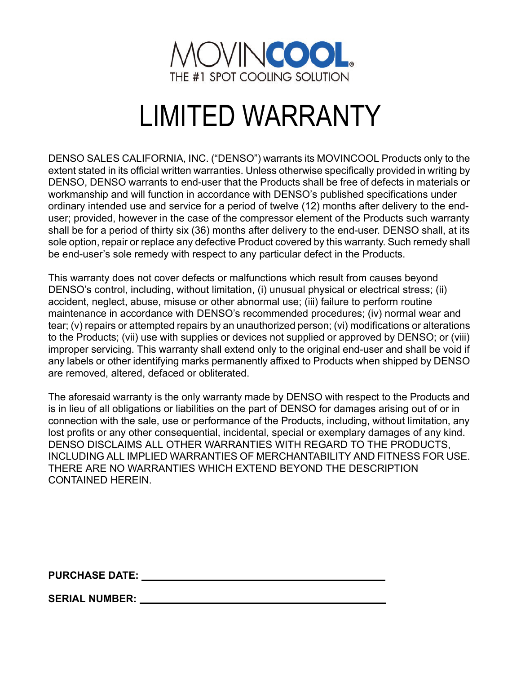

# LIMITED WARRANTY

DENSO SALES CALIFORNIA, INC. ("DENSO") warrants its MOVINCOOL Products only to the extent stated in its official written warranties. Unless otherwise specifically provided in writing by DENSO, DENSO warrants to end-user that the Products shall be free of defects in materials or workmanship and will function in accordance with DENSO's published specifications under ordinary intended use and service for a period of twelve (12) months after delivery to the enduser; provided, however in the case of the compressor element of the Products such warranty shall be for a period of thirty six (36) months after delivery to the end-user. DENSO shall, at its sole option, repair or replace any defective Product covered by this warranty. Such remedy shall be end-user's sole remedy with respect to any particular defect in the Products.

This warranty does not cover defects or malfunctions which result from causes beyond DENSO's control, including, without limitation, (i) unusual physical or electrical stress; (ii) accident, neglect, abuse, misuse or other abnormal use; (iii) failure to perform routine maintenance in accordance with DENSO's recommended procedures; (iv) normal wear and tear; (v) repairs or attempted repairs by an unauthorized person; (vi) modifications or alterations to the Products; (vii) use with supplies or devices not supplied or approved by DENSO; or (viii) improper servicing. This warranty shall extend only to the original end-user and shall be void if any labels or other identifying marks permanently affixed to Products when shipped by DENSO are removed, altered, defaced or obliterated.

The aforesaid warranty is the only warranty made by DENSO with respect to the Products and is in lieu of all obligations or liabilities on the part of DENSO for damages arising out of or in connection with the sale, use or performance of the Products, including, without limitation, any lost profits or any other consequential, incidental, special or exemplary damages of any kind. DENSO DISCLAIMS ALL OTHER WARRANTIES WITH REGARD TO THE PRODUCTS, INCLUDING ALL IMPLIED WARRANTIES OF MERCHANTABILITY AND FITNESS FOR USE. THERE ARE NO WARRANTIES WHICH EXTEND BEYOND THE DESCRIPTION CONTAINED HEREIN.

**PURCHASE DATE:** 

**SERIAL NUMBER:**